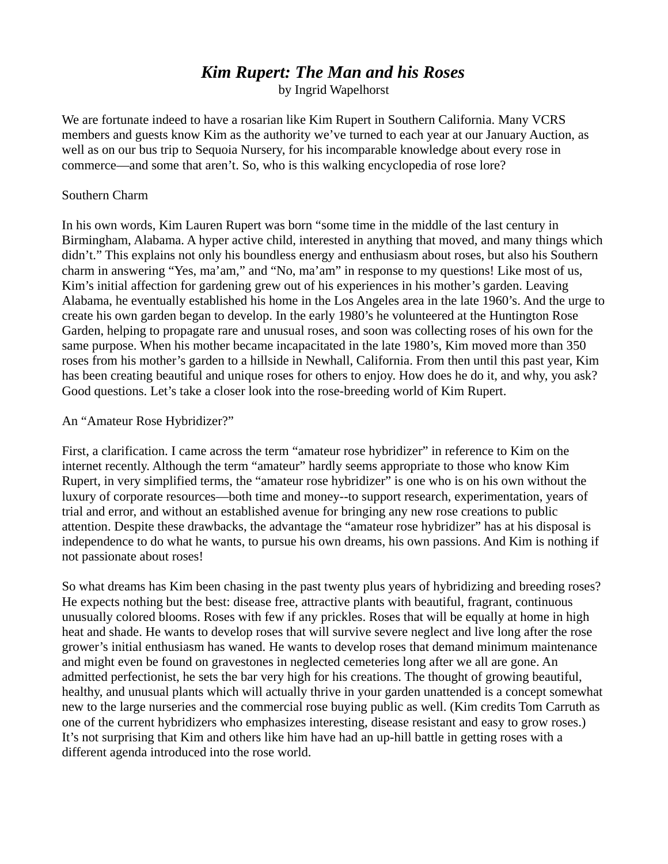# *Kim Rupert: The Man and his Roses*

by Ingrid Wapelhorst

We are fortunate indeed to have a rosarian like Kim Rupert in Southern California. Many VCRS members and guests know Kim as the authority we've turned to each year at our January Auction, as well as on our bus trip to Sequoia Nursery, for his incomparable knowledge about every rose in commerce—and some that aren't. So, who is this walking encyclopedia of rose lore?

## Southern Charm

In his own words, Kim Lauren Rupert was born "some time in the middle of the last century in Birmingham, Alabama. A hyper active child, interested in anything that moved, and many things which didn't." This explains not only his boundless energy and enthusiasm about roses, but also his Southern charm in answering "Yes, ma'am," and "No, ma'am" in response to my questions! Like most of us, Kim's initial affection for gardening grew out of his experiences in his mother's garden. Leaving Alabama, he eventually established his home in the Los Angeles area in the late 1960's. And the urge to create his own garden began to develop. In the early 1980's he volunteered at the Huntington Rose Garden, helping to propagate rare and unusual roses, and soon was collecting roses of his own for the same purpose. When his mother became incapacitated in the late 1980's, Kim moved more than 350 roses from his mother's garden to a hillside in Newhall, California. From then until this past year, Kim has been creating beautiful and unique roses for others to enjoy. How does he do it, and why, you ask? Good questions. Let's take a closer look into the rose-breeding world of Kim Rupert.

### An "Amateur Rose Hybridizer?"

First, a clarification. I came across the term "amateur rose hybridizer" in reference to Kim on the internet recently. Although the term "amateur" hardly seems appropriate to those who know Kim Rupert, in very simplified terms, the "amateur rose hybridizer" is one who is on his own without the luxury of corporate resources—both time and money--to support research, experimentation, years of trial and error, and without an established avenue for bringing any new rose creations to public attention. Despite these drawbacks, the advantage the "amateur rose hybridizer" has at his disposal is independence to do what he wants, to pursue his own dreams, his own passions. And Kim is nothing if not passionate about roses!

So what dreams has Kim been chasing in the past twenty plus years of hybridizing and breeding roses? He expects nothing but the best: disease free, attractive plants with beautiful, fragrant, continuous unusually colored blooms. Roses with few if any prickles. Roses that will be equally at home in high heat and shade. He wants to develop roses that will survive severe neglect and live long after the rose grower's initial enthusiasm has waned. He wants to develop roses that demand minimum maintenance and might even be found on gravestones in neglected cemeteries long after we all are gone. An admitted perfectionist, he sets the bar very high for his creations. The thought of growing beautiful, healthy, and unusual plants which will actually thrive in your garden unattended is a concept somewhat new to the large nurseries and the commercial rose buying public as well. (Kim credits Tom Carruth as one of the current hybridizers who emphasizes interesting, disease resistant and easy to grow roses.) It's not surprising that Kim and others like him have had an up-hill battle in getting roses with a different agenda introduced into the rose world.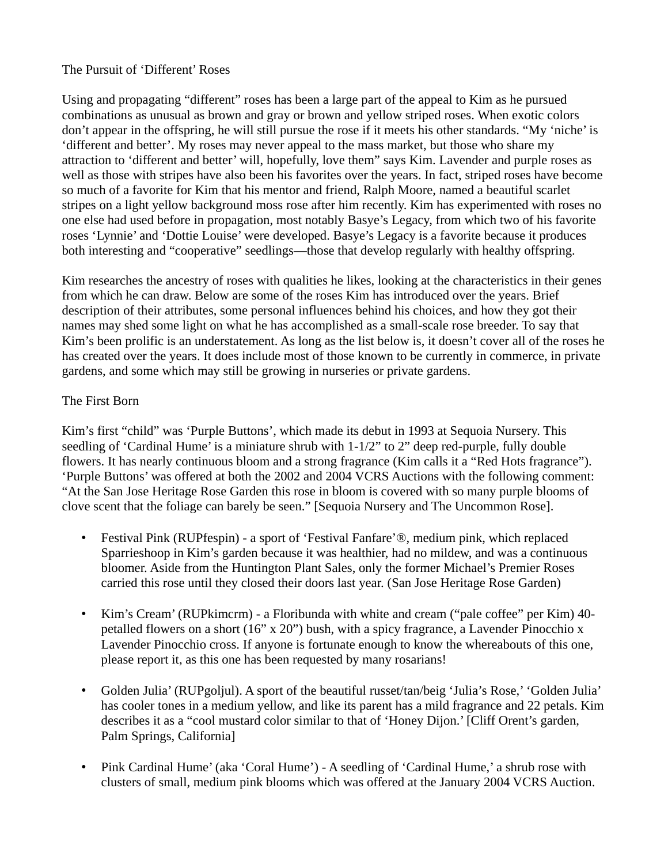#### The Pursuit of 'Different' Roses

Using and propagating "different" roses has been a large part of the appeal to Kim as he pursued combinations as unusual as brown and gray or brown and yellow striped roses. When exotic colors don't appear in the offspring, he will still pursue the rose if it meets his other standards. "My 'niche' is 'different and better'. My roses may never appeal to the mass market, but those who share my attraction to 'different and better' will, hopefully, love them" says Kim. Lavender and purple roses as well as those with stripes have also been his favorites over the years. In fact, striped roses have become so much of a favorite for Kim that his mentor and friend, Ralph Moore, named a beautiful scarlet stripes on a light yellow background moss rose after him recently. Kim has experimented with roses no one else had used before in propagation, most notably Basye's Legacy, from which two of his favorite roses 'Lynnie' and 'Dottie Louise' were developed. Basye's Legacy is a favorite because it produces both interesting and "cooperative" seedlings—those that develop regularly with healthy offspring.

Kim researches the ancestry of roses with qualities he likes, looking at the characteristics in their genes from which he can draw. Below are some of the roses Kim has introduced over the years. Brief description of their attributes, some personal influences behind his choices, and how they got their names may shed some light on what he has accomplished as a small-scale rose breeder. To say that Kim's been prolific is an understatement. As long as the list below is, it doesn't cover all of the roses he has created over the years. It does include most of those known to be currently in commerce, in private gardens, and some which may still be growing in nurseries or private gardens.

### The First Born

Kim's first "child" was 'Purple Buttons', which made its debut in 1993 at Sequoia Nursery. This seedling of 'Cardinal Hume' is a miniature shrub with  $1-1/2$ " to 2" deep red-purple, fully double flowers. It has nearly continuous bloom and a strong fragrance (Kim calls it a "Red Hots fragrance"). 'Purple Buttons' was offered at both the 2002 and 2004 VCRS Auctions with the following comment: "At the San Jose Heritage Rose Garden this rose in bloom is covered with so many purple blooms of clove scent that the foliage can barely be seen." [Sequoia Nursery and The Uncommon Rose].

- Festival Pink (RUPfespin) a sport of 'Festival Fanfare'<sup>®</sup>, medium pink, which replaced Sparrieshoop in Kim's garden because it was healthier, had no mildew, and was a continuous bloomer. Aside from the Huntington Plant Sales, only the former Michael's Premier Roses carried this rose until they closed their doors last year. (San Jose Heritage Rose Garden)
- Kim's Cream' (RUPkimcrm) a Floribunda with white and cream ("pale coffee" per Kim) 40 petalled flowers on a short (16" x 20") bush, with a spicy fragrance, a Lavender Pinocchio x Lavender Pinocchio cross. If anyone is fortunate enough to know the whereabouts of this one, please report it, as this one has been requested by many rosarians!
- Golden Julia' (RUPgoljul). A sport of the beautiful russet/tan/beig 'Julia's Rose,' 'Golden Julia' has cooler tones in a medium yellow, and like its parent has a mild fragrance and 22 petals. Kim describes it as a "cool mustard color similar to that of 'Honey Dijon.' [Cliff Orent's garden, Palm Springs, California]
- Pink Cardinal Hume' (aka 'Coral Hume') A seedling of 'Cardinal Hume,' a shrub rose with clusters of small, medium pink blooms which was offered at the January 2004 VCRS Auction.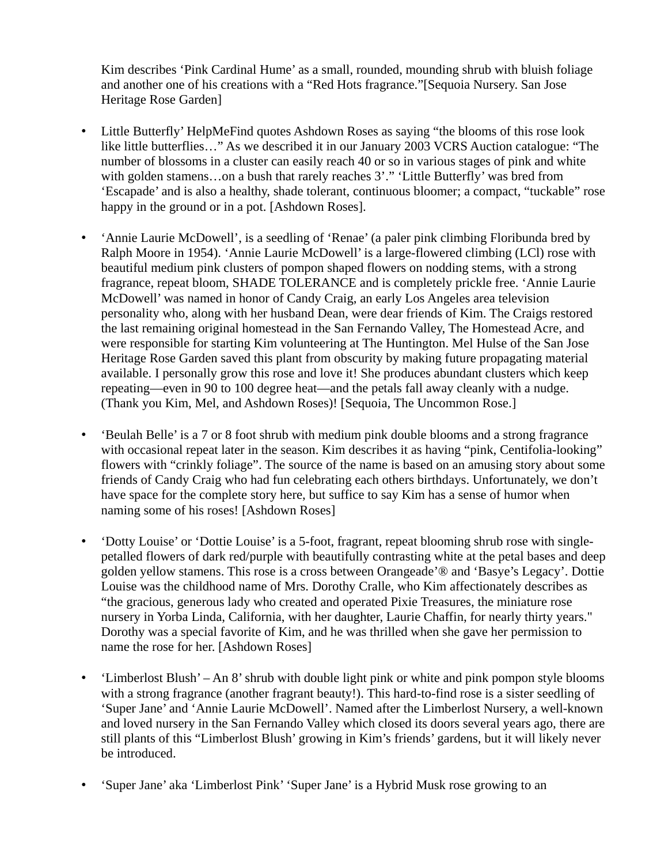Kim describes 'Pink Cardinal Hume' as a small, rounded, mounding shrub with bluish foliage and another one of his creations with a "Red Hots fragrance."[Sequoia Nursery. San Jose Heritage Rose Garden]

- Little Butterfly' HelpMeFind quotes Ashdown Roses as saying "the blooms of this rose look like little butterflies…" As we described it in our January 2003 VCRS Auction catalogue: "The number of blossoms in a cluster can easily reach 40 or so in various stages of pink and white with golden stamens…on a bush that rarely reaches 3'." 'Little Butterfly' was bred from 'Escapade' and is also a healthy, shade tolerant, continuous bloomer; a compact, "tuckable" rose happy in the ground or in a pot. [Ashdown Roses].
- 'Annie Laurie McDowell', is a seedling of 'Renae' (a paler pink climbing Floribunda bred by Ralph Moore in 1954). 'Annie Laurie McDowell' is a large-flowered climbing (LCl) rose with beautiful medium pink clusters of pompon shaped flowers on nodding stems, with a strong fragrance, repeat bloom, SHADE TOLERANCE and is completely prickle free. 'Annie Laurie McDowell' was named in honor of Candy Craig, an early Los Angeles area television personality who, along with her husband Dean, were dear friends of Kim. The Craigs restored the last remaining original homestead in the San Fernando Valley, The Homestead Acre, and were responsible for starting Kim volunteering at The Huntington. Mel Hulse of the San Jose Heritage Rose Garden saved this plant from obscurity by making future propagating material available. I personally grow this rose and love it! She produces abundant clusters which keep repeating—even in 90 to 100 degree heat—and the petals fall away cleanly with a nudge. (Thank you Kim, Mel, and Ashdown Roses)! [Sequoia, The Uncommon Rose.]
- 'Beulah Belle' is a 7 or 8 foot shrub with medium pink double blooms and a strong fragrance with occasional repeat later in the season. Kim describes it as having "pink, Centifolia-looking" flowers with "crinkly foliage". The source of the name is based on an amusing story about some friends of Candy Craig who had fun celebrating each others birthdays. Unfortunately, we don't have space for the complete story here, but suffice to say Kim has a sense of humor when naming some of his roses! [Ashdown Roses]
- 'Dotty Louise' or 'Dottie Louise' is a 5-foot, fragrant, repeat blooming shrub rose with singlepetalled flowers of dark red/purple with beautifully contrasting white at the petal bases and deep golden yellow stamens. This rose is a cross between Orangeade'® and 'Basye's Legacy'. Dottie Louise was the childhood name of Mrs. Dorothy Cralle, who Kim affectionately describes as "the gracious, generous lady who created and operated Pixie Treasures, the miniature rose nursery in Yorba Linda, California, with her daughter, Laurie Chaffin, for nearly thirty years." Dorothy was a special favorite of Kim, and he was thrilled when she gave her permission to name the rose for her. [Ashdown Roses]
- 'Limberlost Blush' An 8' shrub with double light pink or white and pink pompon style blooms with a strong fragrance (another fragrant beauty!). This hard-to-find rose is a sister seedling of 'Super Jane' and 'Annie Laurie McDowell'. Named after the Limberlost Nursery, a well-known and loved nursery in the San Fernando Valley which closed its doors several years ago, there are still plants of this "Limberlost Blush' growing in Kim's friends' gardens, but it will likely never be introduced.
- 'Super Jane' aka 'Limberlost Pink' 'Super Jane' is a Hybrid Musk rose growing to an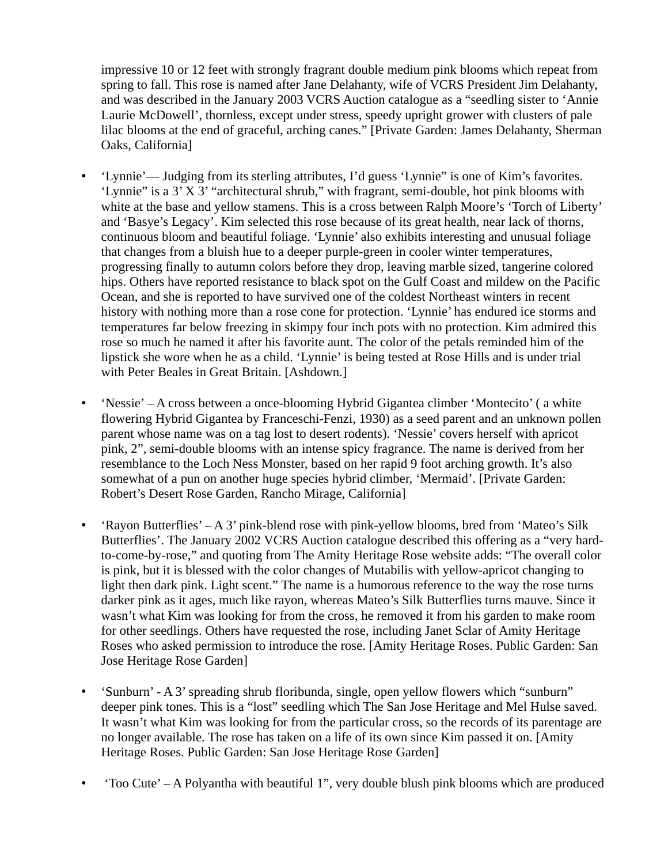impressive 10 or 12 feet with strongly fragrant double medium pink blooms which repeat from spring to fall. This rose is named after Jane Delahanty, wife of VCRS President Jim Delahanty, and was described in the January 2003 VCRS Auction catalogue as a "seedling sister to 'Annie Laurie McDowell', thornless, except under stress, speedy upright grower with clusters of pale lilac blooms at the end of graceful, arching canes." [Private Garden: James Delahanty, Sherman Oaks, California]

- 'Lynnie'— Judging from its sterling attributes, I'd guess 'Lynnie" is one of Kim's favorites. 'Lynnie" is a 3' X 3' "architectural shrub," with fragrant, semi-double, hot pink blooms with white at the base and yellow stamens. This is a cross between Ralph Moore's 'Torch of Liberty' and 'Basye's Legacy'. Kim selected this rose because of its great health, near lack of thorns, continuous bloom and beautiful foliage. 'Lynnie' also exhibits interesting and unusual foliage that changes from a bluish hue to a deeper purple-green in cooler winter temperatures, progressing finally to autumn colors before they drop, leaving marble sized, tangerine colored hips. Others have reported resistance to black spot on the Gulf Coast and mildew on the Pacific Ocean, and she is reported to have survived one of the coldest Northeast winters in recent history with nothing more than a rose cone for protection. 'Lynnie' has endured ice storms and temperatures far below freezing in skimpy four inch pots with no protection. Kim admired this rose so much he named it after his favorite aunt. The color of the petals reminded him of the lipstick she wore when he as a child. 'Lynnie' is being tested at Rose Hills and is under trial with Peter Beales in Great Britain. [Ashdown.]
- 'Nessie' A cross between a once-blooming Hybrid Gigantea climber 'Montecito' (a white flowering Hybrid Gigantea by Franceschi-Fenzi, 1930) as a seed parent and an unknown pollen parent whose name was on a tag lost to desert rodents). 'Nessie' covers herself with apricot pink, 2", semi-double blooms with an intense spicy fragrance. The name is derived from her resemblance to the Loch Ness Monster, based on her rapid 9 foot arching growth. It's also somewhat of a pun on another huge species hybrid climber, 'Mermaid'. [Private Garden: Robert's Desert Rose Garden, Rancho Mirage, California]
- 'Rayon Butterflies' A 3' pink-blend rose with pink-yellow blooms, bred from 'Mateo's Silk Butterflies'. The January 2002 VCRS Auction catalogue described this offering as a "very hardto-come-by-rose," and quoting from The Amity Heritage Rose website adds: "The overall color is pink, but it is blessed with the color changes of Mutabilis with yellow-apricot changing to light then dark pink. Light scent." The name is a humorous reference to the way the rose turns darker pink as it ages, much like rayon, whereas Mateo's Silk Butterflies turns mauve. Since it wasn't what Kim was looking for from the cross, he removed it from his garden to make room for other seedlings. Others have requested the rose, including Janet Sclar of Amity Heritage Roses who asked permission to introduce the rose. [Amity Heritage Roses. Public Garden: San Jose Heritage Rose Garden]
- 'Sunburn' A 3' spreading shrub floribunda, single, open yellow flowers which "sunburn" deeper pink tones. This is a "lost" seedling which The San Jose Heritage and Mel Hulse saved. It wasn't what Kim was looking for from the particular cross, so the records of its parentage are no longer available. The rose has taken on a life of its own since Kim passed it on. [Amity Heritage Roses. Public Garden: San Jose Heritage Rose Garden]
- 'Too Cute' A Polyantha with beautiful 1", very double blush pink blooms which are produced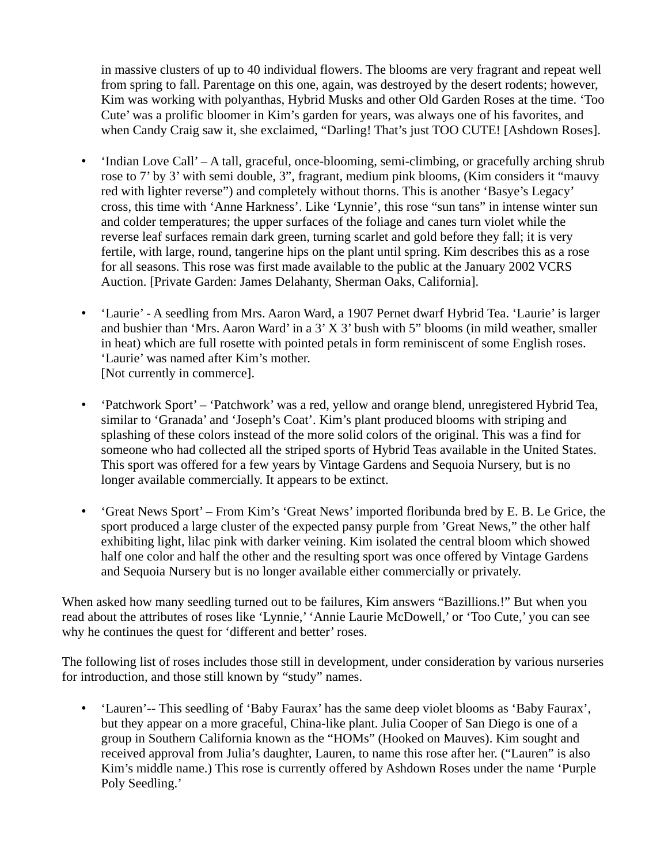in massive clusters of up to 40 individual flowers. The blooms are very fragrant and repeat well from spring to fall. Parentage on this one, again, was destroyed by the desert rodents; however, Kim was working with polyanthas, Hybrid Musks and other Old Garden Roses at the time. 'Too Cute' was a prolific bloomer in Kim's garden for years, was always one of his favorites, and when Candy Craig saw it, she exclaimed, "Darling! That's just TOO CUTE! [Ashdown Roses].

- 'Indian Love Call' A tall, graceful, once-blooming, semi-climbing, or gracefully arching shrub rose to 7' by 3' with semi double, 3", fragrant, medium pink blooms, (Kim considers it "mauvy red with lighter reverse") and completely without thorns. This is another 'Basye's Legacy' cross, this time with 'Anne Harkness'. Like 'Lynnie', this rose "sun tans" in intense winter sun and colder temperatures; the upper surfaces of the foliage and canes turn violet while the reverse leaf surfaces remain dark green, turning scarlet and gold before they fall; it is very fertile, with large, round, tangerine hips on the plant until spring. Kim describes this as a rose for all seasons. This rose was first made available to the public at the January 2002 VCRS Auction. [Private Garden: James Delahanty, Sherman Oaks, California].
- 'Laurie' A seedling from Mrs. Aaron Ward, a 1907 Pernet dwarf Hybrid Tea. 'Laurie' is larger and bushier than 'Mrs. Aaron Ward' in a 3' X 3' bush with 5" blooms (in mild weather, smaller in heat) which are full rosette with pointed petals in form reminiscent of some English roses. 'Laurie' was named after Kim's mother. [Not currently in commerce].
- 'Patchwork Sport' 'Patchwork' was a red, yellow and orange blend, unregistered Hybrid Tea, similar to 'Granada' and 'Joseph's Coat'. Kim's plant produced blooms with striping and splashing of these colors instead of the more solid colors of the original. This was a find for someone who had collected all the striped sports of Hybrid Teas available in the United States. This sport was offered for a few years by Vintage Gardens and Sequoia Nursery, but is no longer available commercially. It appears to be extinct.
- 'Great News Sport' From Kim's 'Great News' imported floribunda bred by E. B. Le Grice, the sport produced a large cluster of the expected pansy purple from 'Great News," the other half exhibiting light, lilac pink with darker veining. Kim isolated the central bloom which showed half one color and half the other and the resulting sport was once offered by Vintage Gardens and Sequoia Nursery but is no longer available either commercially or privately.

When asked how many seedling turned out to be failures, Kim answers "Bazillions.!" But when you read about the attributes of roses like 'Lynnie,' 'Annie Laurie McDowell,' or 'Too Cute,' you can see why he continues the quest for 'different and better' roses.

The following list of roses includes those still in development, under consideration by various nurseries for introduction, and those still known by "study" names.

• 'Lauren'-- This seedling of 'Baby Faurax' has the same deep violet blooms as 'Baby Faurax', but they appear on a more graceful, China-like plant. Julia Cooper of San Diego is one of a group in Southern California known as the "HOMs" (Hooked on Mauves). Kim sought and received approval from Julia's daughter, Lauren, to name this rose after her. ("Lauren" is also Kim's middle name.) This rose is currently offered by Ashdown Roses under the name 'Purple Poly Seedling.'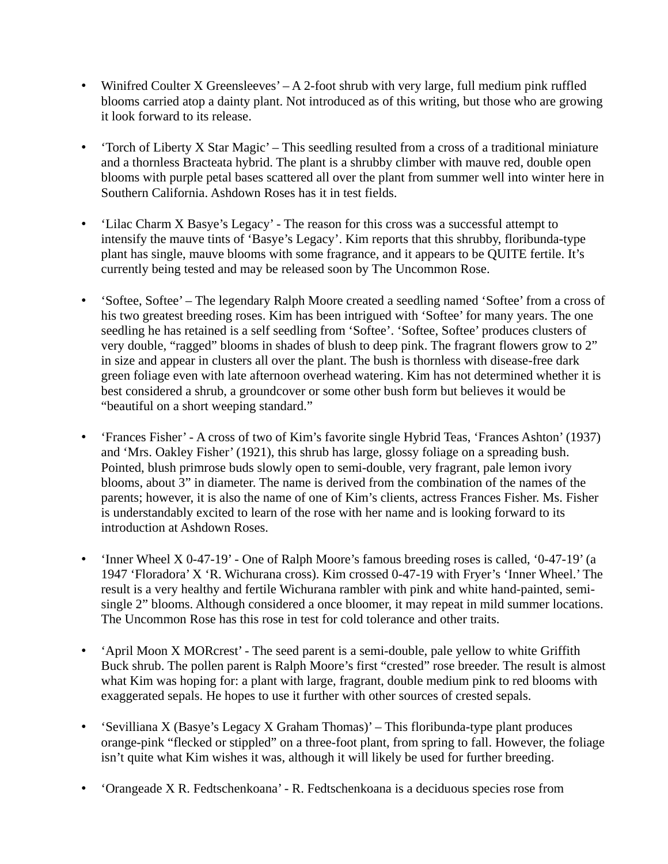- Winifred Coulter X Greensleeves' A 2-foot shrub with very large, full medium pink ruffled blooms carried atop a dainty plant. Not introduced as of this writing, but those who are growing it look forward to its release.
- 'Torch of Liberty X Star Magic' This seedling resulted from a cross of a traditional miniature and a thornless Bracteata hybrid. The plant is a shrubby climber with mauve red, double open blooms with purple petal bases scattered all over the plant from summer well into winter here in Southern California. Ashdown Roses has it in test fields.
- 'Lilac Charm X Basye's Legacy' The reason for this cross was a successful attempt to intensify the mauve tints of 'Basye's Legacy'. Kim reports that this shrubby, floribunda-type plant has single, mauve blooms with some fragrance, and it appears to be QUITE fertile. It's currently being tested and may be released soon by The Uncommon Rose.
- 'Softee, Softee' The legendary Ralph Moore created a seedling named 'Softee' from a cross of his two greatest breeding roses. Kim has been intrigued with 'Softee' for many years. The one seedling he has retained is a self seedling from 'Softee'. 'Softee, Softee' produces clusters of very double, "ragged" blooms in shades of blush to deep pink. The fragrant flowers grow to 2" in size and appear in clusters all over the plant. The bush is thornless with disease-free dark green foliage even with late afternoon overhead watering. Kim has not determined whether it is best considered a shrub, a groundcover or some other bush form but believes it would be "beautiful on a short weeping standard."
- 'Frances Fisher' A cross of two of Kim's favorite single Hybrid Teas, 'Frances Ashton' (1937) and 'Mrs. Oakley Fisher' (1921), this shrub has large, glossy foliage on a spreading bush. Pointed, blush primrose buds slowly open to semi-double, very fragrant, pale lemon ivory blooms, about 3" in diameter. The name is derived from the combination of the names of the parents; however, it is also the name of one of Kim's clients, actress Frances Fisher. Ms. Fisher is understandably excited to learn of the rose with her name and is looking forward to its introduction at Ashdown Roses.
- 'Inner Wheel X 0-47-19' One of Ralph Moore's famous breeding roses is called, '0-47-19' (a 1947 'Floradora' X 'R. Wichurana cross). Kim crossed 0-47-19 with Fryer's 'Inner Wheel.' The result is a very healthy and fertile Wichurana rambler with pink and white hand-painted, semisingle 2" blooms. Although considered a once bloomer, it may repeat in mild summer locations. The Uncommon Rose has this rose in test for cold tolerance and other traits.
- 'April Moon X MORcrest' The seed parent is a semi-double, pale yellow to white Griffith Buck shrub. The pollen parent is Ralph Moore's first "crested" rose breeder. The result is almost what Kim was hoping for: a plant with large, fragrant, double medium pink to red blooms with exaggerated sepals. He hopes to use it further with other sources of crested sepals.
- 'Sevilliana X (Basye's Legacy X Graham Thomas)' This floribunda-type plant produces orange-pink "flecked or stippled" on a three-foot plant, from spring to fall. However, the foliage isn't quite what Kim wishes it was, although it will likely be used for further breeding.
- 'Orangeade X R. Fedtschenkoana' R. Fedtschenkoana is a deciduous species rose from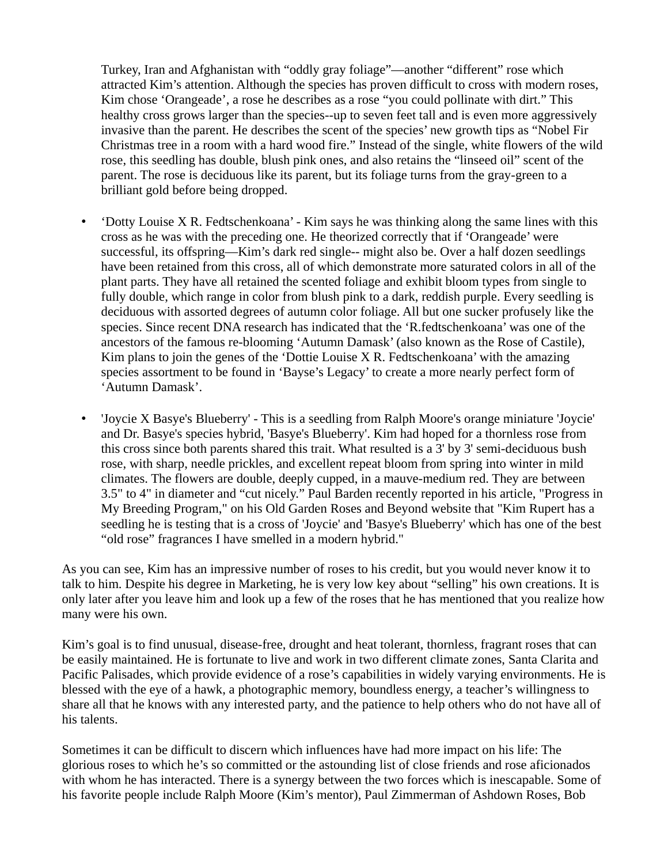Turkey, Iran and Afghanistan with "oddly gray foliage"—another "different" rose which attracted Kim's attention. Although the species has proven difficult to cross with modern roses, Kim chose 'Orangeade', a rose he describes as a rose "you could pollinate with dirt." This healthy cross grows larger than the species--up to seven feet tall and is even more aggressively invasive than the parent. He describes the scent of the species' new growth tips as "Nobel Fir Christmas tree in a room with a hard wood fire." Instead of the single, white flowers of the wild rose, this seedling has double, blush pink ones, and also retains the "linseed oil" scent of the parent. The rose is deciduous like its parent, but its foliage turns from the gray-green to a brilliant gold before being dropped.

- Cotty Louise X R. Fedtschenkoana' Kim says he was thinking along the same lines with this cross as he was with the preceding one. He theorized correctly that if 'Orangeade' were successful, its offspring—Kim's dark red single-- might also be. Over a half dozen seedlings have been retained from this cross, all of which demonstrate more saturated colors in all of the plant parts. They have all retained the scented foliage and exhibit bloom types from single to fully double, which range in color from blush pink to a dark, reddish purple. Every seedling is deciduous with assorted degrees of autumn color foliage. All but one sucker profusely like the species. Since recent DNA research has indicated that the 'R.fedtschenkoana' was one of the ancestors of the famous re-blooming 'Autumn Damask' (also known as the Rose of Castile), Kim plans to join the genes of the 'Dottie Louise  $X \, R$ . Fedtschenkoana' with the amazing species assortment to be found in 'Bayse's Legacy' to create a more nearly perfect form of 'Autumn Damask'.
- 'Joycie X Basye's Blueberry' This is a seedling from Ralph Moore's orange miniature 'Joycie' and Dr. Basye's species hybrid, 'Basye's Blueberry'. Kim had hoped for a thornless rose from this cross since both parents shared this trait. What resulted is a 3' by 3' semi-deciduous bush rose, with sharp, needle prickles, and excellent repeat bloom from spring into winter in mild climates. The flowers are double, deeply cupped, in a mauve-medium red. They are between 3.5" to 4" in diameter and "cut nicely." Paul Barden recently reported in his article, "Progress in My Breeding Program," on his Old Garden Roses and Beyond website that "Kim Rupert has a seedling he is testing that is a cross of 'Joycie' and 'Basye's Blueberry' which has one of the best "old rose" fragrances I have smelled in a modern hybrid."

As you can see, Kim has an impressive number of roses to his credit, but you would never know it to talk to him. Despite his degree in Marketing, he is very low key about "selling" his own creations. It is only later after you leave him and look up a few of the roses that he has mentioned that you realize how many were his own.

Kim's goal is to find unusual, disease-free, drought and heat tolerant, thornless, fragrant roses that can be easily maintained. He is fortunate to live and work in two different climate zones, Santa Clarita and Pacific Palisades, which provide evidence of a rose's capabilities in widely varying environments. He is blessed with the eye of a hawk, a photographic memory, boundless energy, a teacher's willingness to share all that he knows with any interested party, and the patience to help others who do not have all of his talents.

Sometimes it can be difficult to discern which influences have had more impact on his life: The glorious roses to which he's so committed or the astounding list of close friends and rose aficionados with whom he has interacted. There is a synergy between the two forces which is inescapable. Some of his favorite people include Ralph Moore (Kim's mentor), Paul Zimmerman of Ashdown Roses, Bob